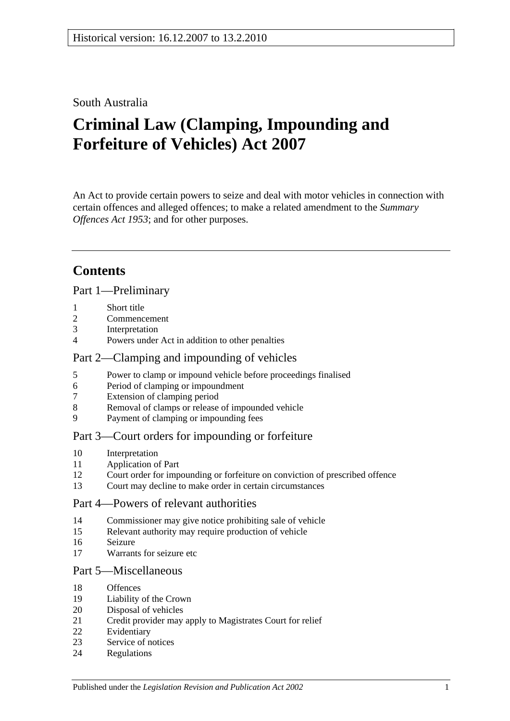### South Australia

# **Criminal Law (Clamping, Impounding and Forfeiture of Vehicles) Act 2007**

An Act to provide certain powers to seize and deal with motor vehicles in connection with certain offences and alleged offences; to make a related amendment to the *[Summary](http://www.legislation.sa.gov.au/index.aspx?action=legref&type=act&legtitle=Summary%20Offences%20Act%201953)  [Offences Act](http://www.legislation.sa.gov.au/index.aspx?action=legref&type=act&legtitle=Summary%20Offences%20Act%201953) 1953*; and for other purposes.

# **Contents**

[Part 1—Preliminary](#page-1-0)

- [Short title](#page-1-1)
- [Commencement](#page-1-2)
- [Interpretation](#page-1-3)
- [Powers under Act in addition to other penalties](#page-2-0)

### [Part 2—Clamping and impounding of vehicles](#page-2-1)

- [Power to clamp or impound vehicle before proceedings finalised](#page-2-2)
- [Period of clamping or impoundment](#page-3-0)
- [Extension of clamping period](#page-3-1)
- [Removal of clamps or release of impounded vehicle](#page-4-0)
- [Payment of clamping or impounding fees](#page-5-0)

### [Part 3—Court orders for impounding or forfeiture](#page-5-1)

- [Interpretation](#page-5-2)
- [Application of Part](#page-5-3)
- [Court order for impounding or forfeiture on conviction of prescribed offence](#page-6-0)
- [Court may decline to make order in certain circumstances](#page-7-0)

### [Part 4—Powers of relevant authorities](#page-8-0)

- [Commissioner may give notice prohibiting sale of vehicle](#page-8-1)
- [Relevant authority may require production of vehicle](#page-9-0)
- [Seizure](#page-9-1)
- [Warrants for seizure etc](#page-10-0)

#### [Part 5—Miscellaneous](#page-11-0)

- [Offences](#page-11-1)
- [Liability of the Crown](#page-11-2)
- [Disposal of vehicles](#page-12-0)
- [Credit provider may apply to Magistrates Court for relief](#page-13-0)
- [Evidentiary](#page-14-0)
- [Service of notices](#page-14-1)
- [Regulations](#page-14-2)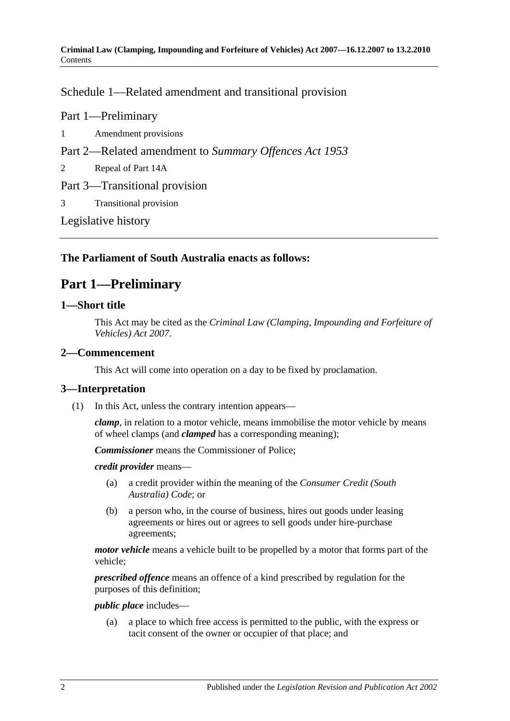[Schedule 1—Related amendment and transitional provision](#page-15-0)

Part 1—Preliminary

- 1 [Amendment provisions](#page-15-1)
- Part 2—Related amendment to *Summary Offences Act 1953*
- 2 [Repeal of Part 14A](#page-15-2)
- Part 3—Transitional provision
- 3 [Transitional provision](#page-15-3)

[Legislative history](#page-16-0)

### <span id="page-1-0"></span>**The Parliament of South Australia enacts as follows:**

## **Part 1—Preliminary**

### <span id="page-1-1"></span>**1—Short title**

This Act may be cited as the *Criminal Law (Clamping, Impounding and Forfeiture of Vehicles) Act 2007*.

### <span id="page-1-2"></span>**2—Commencement**

This Act will come into operation on a day to be fixed by proclamation.

### <span id="page-1-3"></span>**3—Interpretation**

(1) In this Act, unless the contrary intention appears—

*clamp*, in relation to a motor vehicle, means immobilise the motor vehicle by means of wheel clamps (and *clamped* has a corresponding meaning);

*Commissioner* means the Commissioner of Police;

*credit provider* means—

- (a) a credit provider within the meaning of the *Consumer Credit (South Australia) Code*; or
- (b) a person who, in the course of business, hires out goods under leasing agreements or hires out or agrees to sell goods under hire-purchase agreements;

*motor vehicle* means a vehicle built to be propelled by a motor that forms part of the vehicle;

*prescribed offence* means an offence of a kind prescribed by regulation for the purposes of this definition;

#### *public place* includes—

(a) a place to which free access is permitted to the public, with the express or tacit consent of the owner or occupier of that place; and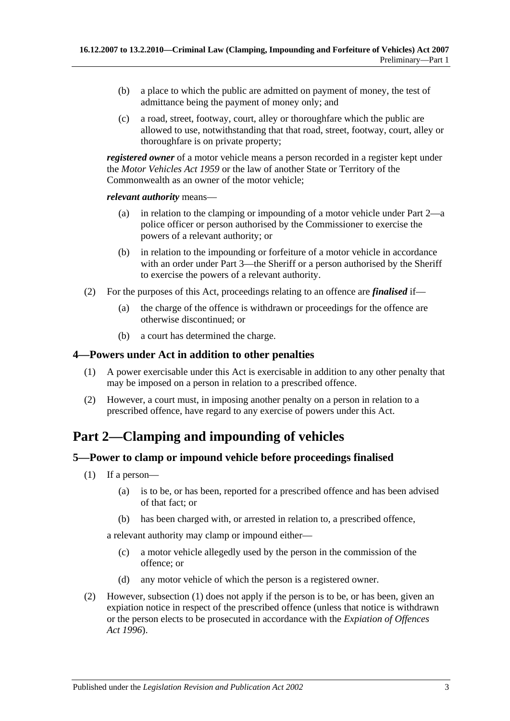- (b) a place to which the public are admitted on payment of money, the test of admittance being the payment of money only; and
- (c) a road, street, footway, court, alley or thoroughfare which the public are allowed to use, notwithstanding that that road, street, footway, court, alley or thoroughfare is on private property;

*registered owner* of a motor vehicle means a person recorded in a register kept under the *[Motor Vehicles Act](http://www.legislation.sa.gov.au/index.aspx?action=legref&type=act&legtitle=Motor%20Vehicles%20Act%201959) 1959* or the law of another State or Territory of the Commonwealth as an owner of the motor vehicle;

*relevant authority* means—

- (a) in relation to the clamping or impounding of a motor vehicle under [Part 2—](#page-2-1)a police officer or person authorised by the Commissioner to exercise the powers of a relevant authority; or
- (b) in relation to the impounding or forfeiture of a motor vehicle in accordance with an order under [Part 3—](#page-5-1)the Sheriff or a person authorised by the Sheriff to exercise the powers of a relevant authority.
- (2) For the purposes of this Act, proceedings relating to an offence are *finalised* if—
	- (a) the charge of the offence is withdrawn or proceedings for the offence are otherwise discontinued; or
	- (b) a court has determined the charge.

### <span id="page-2-0"></span>**4—Powers under Act in addition to other penalties**

- (1) A power exercisable under this Act is exercisable in addition to any other penalty that may be imposed on a person in relation to a prescribed offence.
- (2) However, a court must, in imposing another penalty on a person in relation to a prescribed offence, have regard to any exercise of powers under this Act.

# <span id="page-2-1"></span>**Part 2—Clamping and impounding of vehicles**

### <span id="page-2-3"></span><span id="page-2-2"></span>**5—Power to clamp or impound vehicle before proceedings finalised**

- (1) If a person—
	- (a) is to be, or has been, reported for a prescribed offence and has been advised of that fact; or
	- (b) has been charged with, or arrested in relation to, a prescribed offence,

<span id="page-2-4"></span>a relevant authority may clamp or impound either—

- (c) a motor vehicle allegedly used by the person in the commission of the offence; or
- (d) any motor vehicle of which the person is a registered owner.
- (2) However, [subsection](#page-2-3) (1) does not apply if the person is to be, or has been, given an expiation notice in respect of the prescribed offence (unless that notice is withdrawn or the person elects to be prosecuted in accordance with the *[Expiation of Offences](http://www.legislation.sa.gov.au/index.aspx?action=legref&type=act&legtitle=Expiation%20of%20Offences%20Act%201996)  Act [1996](http://www.legislation.sa.gov.au/index.aspx?action=legref&type=act&legtitle=Expiation%20of%20Offences%20Act%201996)*).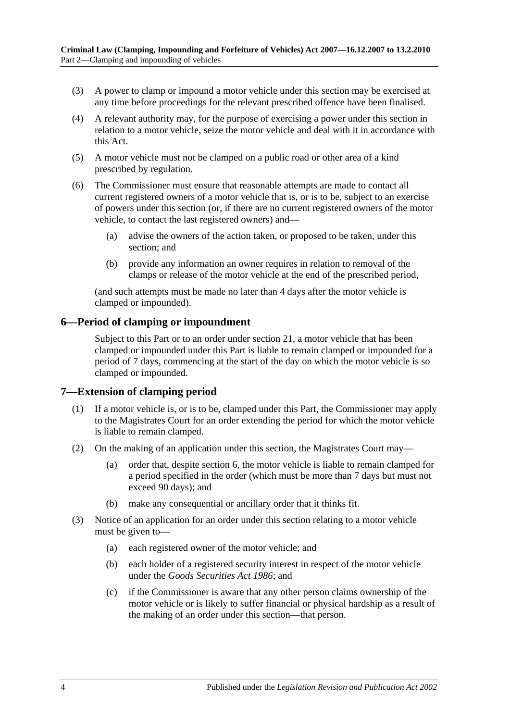- (3) A power to clamp or impound a motor vehicle under this section may be exercised at any time before proceedings for the relevant prescribed offence have been finalised.
- (4) A relevant authority may, for the purpose of exercising a power under this section in relation to a motor vehicle, seize the motor vehicle and deal with it in accordance with this Act.
- (5) A motor vehicle must not be clamped on a public road or other area of a kind prescribed by regulation.
- (6) The Commissioner must ensure that reasonable attempts are made to contact all current registered owners of a motor vehicle that is, or is to be, subject to an exercise of powers under this section (or, if there are no current registered owners of the motor vehicle, to contact the last registered owners) and—
	- (a) advise the owners of the action taken, or proposed to be taken, under this section; and
	- (b) provide any information an owner requires in relation to removal of the clamps or release of the motor vehicle at the end of the prescribed period,

(and such attempts must be made no later than 4 days after the motor vehicle is clamped or impounded).

### <span id="page-3-0"></span>**6—Period of clamping or impoundment**

Subject to this Part or to an order under [section](#page-13-0) 21, a motor vehicle that has been clamped or impounded under this Part is liable to remain clamped or impounded for a period of 7 days, commencing at the start of the day on which the motor vehicle is so clamped or impounded.

#### <span id="page-3-1"></span>**7—Extension of clamping period**

- (1) If a motor vehicle is, or is to be, clamped under this Part, the Commissioner may apply to the Magistrates Court for an order extending the period for which the motor vehicle is liable to remain clamped.
- (2) On the making of an application under this section, the Magistrates Court may—
	- (a) order that, despite [section](#page-3-0) 6, the motor vehicle is liable to remain clamped for a period specified in the order (which must be more than 7 days but must not exceed 90 days); and
	- (b) make any consequential or ancillary order that it thinks fit.
- <span id="page-3-2"></span>(3) Notice of an application for an order under this section relating to a motor vehicle must be given to—
	- (a) each registered owner of the motor vehicle; and
	- (b) each holder of a registered security interest in respect of the motor vehicle under the *[Goods Securities](http://www.legislation.sa.gov.au/index.aspx?action=legref&type=act&legtitle=Goods%20Securities%20Act%201986) Act 1986*; and
	- (c) if the Commissioner is aware that any other person claims ownership of the motor vehicle or is likely to suffer financial or physical hardship as a result of the making of an order under this section—that person.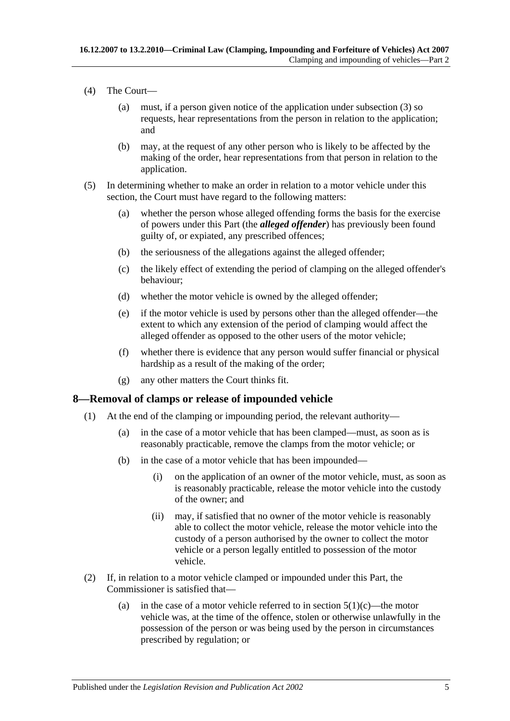- (4) The Court—
	- (a) must, if a person given notice of the application under [subsection](#page-3-2) (3) so requests, hear representations from the person in relation to the application; and
	- (b) may, at the request of any other person who is likely to be affected by the making of the order, hear representations from that person in relation to the application.
- (5) In determining whether to make an order in relation to a motor vehicle under this section, the Court must have regard to the following matters:
	- (a) whether the person whose alleged offending forms the basis for the exercise of powers under this Part (the *alleged offender*) has previously been found guilty of, or expiated, any prescribed offences;
	- (b) the seriousness of the allegations against the alleged offender;
	- (c) the likely effect of extending the period of clamping on the alleged offender's behaviour;
	- (d) whether the motor vehicle is owned by the alleged offender;
	- (e) if the motor vehicle is used by persons other than the alleged offender—the extent to which any extension of the period of clamping would affect the alleged offender as opposed to the other users of the motor vehicle;
	- (f) whether there is evidence that any person would suffer financial or physical hardship as a result of the making of the order;
	- (g) any other matters the Court thinks fit.

### <span id="page-4-0"></span>**8—Removal of clamps or release of impounded vehicle**

- (1) At the end of the clamping or impounding period, the relevant authority—
	- (a) in the case of a motor vehicle that has been clamped—must, as soon as is reasonably practicable, remove the clamps from the motor vehicle; or
	- (b) in the case of a motor vehicle that has been impounded—
		- (i) on the application of an owner of the motor vehicle, must, as soon as is reasonably practicable, release the motor vehicle into the custody of the owner; and
		- (ii) may, if satisfied that no owner of the motor vehicle is reasonably able to collect the motor vehicle, release the motor vehicle into the custody of a person authorised by the owner to collect the motor vehicle or a person legally entitled to possession of the motor vehicle.
- (2) If, in relation to a motor vehicle clamped or impounded under this Part, the Commissioner is satisfied that
	- (a) in the case of a motor vehicle referred to in [section](#page-2-4)  $5(1)(c)$ —the motor vehicle was, at the time of the offence, stolen or otherwise unlawfully in the possession of the person or was being used by the person in circumstances prescribed by regulation; or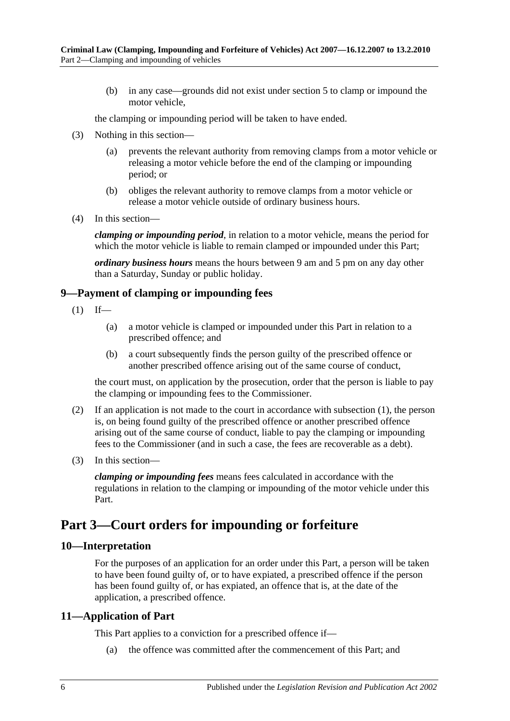(b) in any case—grounds did not exist under [section](#page-2-2) 5 to clamp or impound the motor vehicle,

the clamping or impounding period will be taken to have ended.

- (3) Nothing in this section—
	- (a) prevents the relevant authority from removing clamps from a motor vehicle or releasing a motor vehicle before the end of the clamping or impounding period; or
	- (b) obliges the relevant authority to remove clamps from a motor vehicle or release a motor vehicle outside of ordinary business hours.
- (4) In this section—

*clamping or impounding period*, in relation to a motor vehicle, means the period for which the motor vehicle is liable to remain clamped or impounded under this Part;

*ordinary business hours* means the hours between 9 am and 5 pm on any day other than a Saturday, Sunday or public holiday.

### <span id="page-5-4"></span><span id="page-5-0"></span>**9—Payment of clamping or impounding fees**

- $(1)$  If—
	- (a) a motor vehicle is clamped or impounded under this Part in relation to a prescribed offence; and
	- (b) a court subsequently finds the person guilty of the prescribed offence or another prescribed offence arising out of the same course of conduct,

the court must, on application by the prosecution, order that the person is liable to pay the clamping or impounding fees to the Commissioner.

- (2) If an application is not made to the court in accordance with [subsection](#page-5-4) (1), the person is, on being found guilty of the prescribed offence or another prescribed offence arising out of the same course of conduct, liable to pay the clamping or impounding fees to the Commissioner (and in such a case, the fees are recoverable as a debt).
- (3) In this section—

*clamping or impounding fees* means fees calculated in accordance with the regulations in relation to the clamping or impounding of the motor vehicle under this Part.

# <span id="page-5-1"></span>**Part 3—Court orders for impounding or forfeiture**

#### <span id="page-5-2"></span>**10—Interpretation**

For the purposes of an application for an order under this Part, a person will be taken to have been found guilty of, or to have expiated, a prescribed offence if the person has been found guilty of, or has expiated, an offence that is, at the date of the application, a prescribed offence.

### <span id="page-5-3"></span>**11—Application of Part**

This Part applies to a conviction for a prescribed offence if—

(a) the offence was committed after the commencement of this Part; and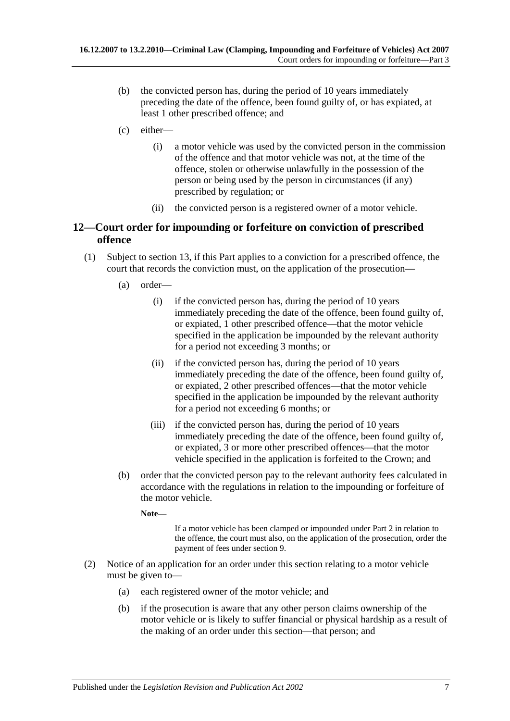- (b) the convicted person has, during the period of 10 years immediately preceding the date of the offence, been found guilty of, or has expiated, at least 1 other prescribed offence; and
- <span id="page-6-2"></span>(c) either—
	- (i) a motor vehicle was used by the convicted person in the commission of the offence and that motor vehicle was not, at the time of the offence, stolen or otherwise unlawfully in the possession of the person or being used by the person in circumstances (if any) prescribed by regulation; or
	- (ii) the convicted person is a registered owner of a motor vehicle.

### <span id="page-6-0"></span>**12—Court order for impounding or forfeiture on conviction of prescribed offence**

- (1) Subject to [section](#page-7-0) 13, if this Part applies to a conviction for a prescribed offence, the court that records the conviction must, on the application of the prosecution—
	- (a) order—
		- (i) if the convicted person has, during the period of 10 years immediately preceding the date of the offence, been found guilty of, or expiated, 1 other prescribed offence—that the motor vehicle specified in the application be impounded by the relevant authority for a period not exceeding 3 months; or
		- (ii) if the convicted person has, during the period of 10 years immediately preceding the date of the offence, been found guilty of, or expiated, 2 other prescribed offences—that the motor vehicle specified in the application be impounded by the relevant authority for a period not exceeding 6 months; or
		- (iii) if the convicted person has, during the period of 10 years immediately preceding the date of the offence, been found guilty of, or expiated, 3 or more other prescribed offences—that the motor vehicle specified in the application is forfeited to the Crown; and
	- (b) order that the convicted person pay to the relevant authority fees calculated in accordance with the regulations in relation to the impounding or forfeiture of the motor vehicle.

**Note—**

If a motor vehicle has been clamped or impounded under [Part 2](#page-2-1) in relation to the offence, the court must also, on the application of the prosecution, order the payment of fees under [section](#page-5-0) 9.

- <span id="page-6-1"></span>(2) Notice of an application for an order under this section relating to a motor vehicle must be given to—
	- (a) each registered owner of the motor vehicle; and
	- (b) if the prosecution is aware that any other person claims ownership of the motor vehicle or is likely to suffer financial or physical hardship as a result of the making of an order under this section—that person; and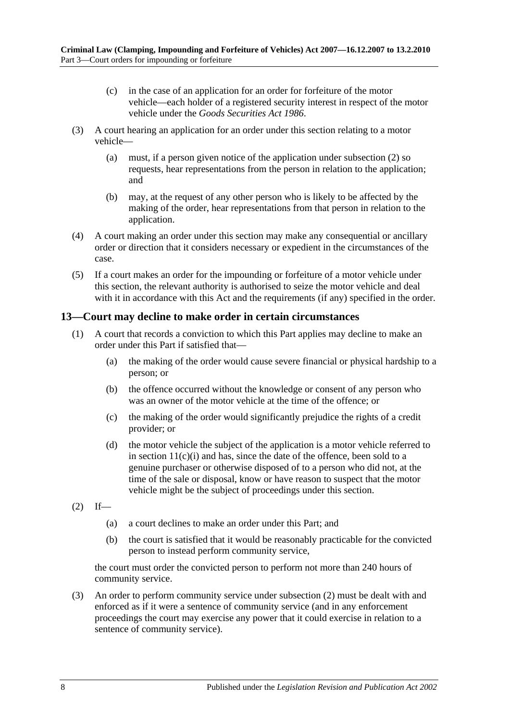- (c) in the case of an application for an order for forfeiture of the motor vehicle—each holder of a registered security interest in respect of the motor vehicle under the *[Goods Securities Act](http://www.legislation.sa.gov.au/index.aspx?action=legref&type=act&legtitle=Goods%20Securities%20Act%201986) 1986*.
- (3) A court hearing an application for an order under this section relating to a motor vehicle—
	- (a) must, if a person given notice of the application under [subsection](#page-6-1) (2) so requests, hear representations from the person in relation to the application; and
	- (b) may, at the request of any other person who is likely to be affected by the making of the order, hear representations from that person in relation to the application.
- (4) A court making an order under this section may make any consequential or ancillary order or direction that it considers necessary or expedient in the circumstances of the case.
- (5) If a court makes an order for the impounding or forfeiture of a motor vehicle under this section, the relevant authority is authorised to seize the motor vehicle and deal with it in accordance with this Act and the requirements (if any) specified in the order.

### <span id="page-7-0"></span>**13—Court may decline to make order in certain circumstances**

- (1) A court that records a conviction to which this Part applies may decline to make an order under this Part if satisfied that—
	- (a) the making of the order would cause severe financial or physical hardship to a person; or
	- (b) the offence occurred without the knowledge or consent of any person who was an owner of the motor vehicle at the time of the offence; or
	- (c) the making of the order would significantly prejudice the rights of a credit provider; or
	- (d) the motor vehicle the subject of the application is a motor vehicle referred to in section  $11(c)(i)$  and has, since the date of the offence, been sold to a genuine purchaser or otherwise disposed of to a person who did not, at the time of the sale or disposal, know or have reason to suspect that the motor vehicle might be the subject of proceedings under this section.
- <span id="page-7-1"></span> $(2)$  If—
	- (a) a court declines to make an order under this Part; and
	- (b) the court is satisfied that it would be reasonably practicable for the convicted person to instead perform community service,

the court must order the convicted person to perform not more than 240 hours of community service.

(3) An order to perform community service under [subsection](#page-7-1) (2) must be dealt with and enforced as if it were a sentence of community service (and in any enforcement proceedings the court may exercise any power that it could exercise in relation to a sentence of community service).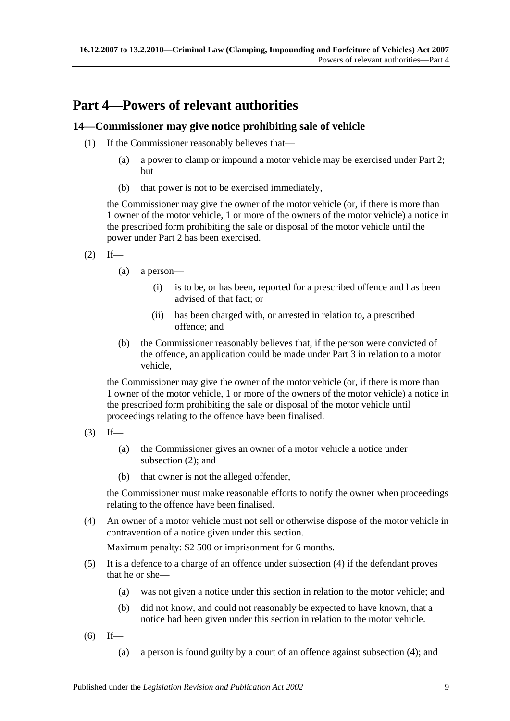# <span id="page-8-0"></span>**Part 4—Powers of relevant authorities**

### <span id="page-8-1"></span>**14—Commissioner may give notice prohibiting sale of vehicle**

- (1) If the Commissioner reasonably believes that—
	- (a) a power to clamp or impound a motor vehicle may be exercised under [Part 2;](#page-2-1) but
	- (b) that power is not to be exercised immediately,

the Commissioner may give the owner of the motor vehicle (or, if there is more than 1 owner of the motor vehicle, 1 or more of the owners of the motor vehicle) a notice in the prescribed form prohibiting the sale or disposal of the motor vehicle until the power under [Part 2](#page-2-1) has been exercised.

- <span id="page-8-2"></span> $(2)$  If—
	- (a) a person—
		- (i) is to be, or has been, reported for a prescribed offence and has been advised of that fact; or
		- (ii) has been charged with, or arrested in relation to, a prescribed offence; and
	- (b) the Commissioner reasonably believes that, if the person were convicted of the offence, an application could be made under [Part 3](#page-5-1) in relation to a motor vehicle,

the Commissioner may give the owner of the motor vehicle (or, if there is more than 1 owner of the motor vehicle, 1 or more of the owners of the motor vehicle) a notice in the prescribed form prohibiting the sale or disposal of the motor vehicle until proceedings relating to the offence have been finalised.

- $(3)$  If—
	- (a) the Commissioner gives an owner of a motor vehicle a notice under [subsection](#page-8-2) (2); and
	- (b) that owner is not the alleged offender,

the Commissioner must make reasonable efforts to notify the owner when proceedings relating to the offence have been finalised.

<span id="page-8-3"></span>(4) An owner of a motor vehicle must not sell or otherwise dispose of the motor vehicle in contravention of a notice given under this section.

Maximum penalty: \$2 500 or imprisonment for 6 months.

- (5) It is a defence to a charge of an offence under [subsection](#page-8-3) (4) if the defendant proves that he or she—
	- (a) was not given a notice under this section in relation to the motor vehicle; and
	- (b) did not know, and could not reasonably be expected to have known, that a notice had been given under this section in relation to the motor vehicle.
- <span id="page-8-4"></span> $(6)$  If—
	- (a) a person is found guilty by a court of an offence against [subsection](#page-8-3) (4); and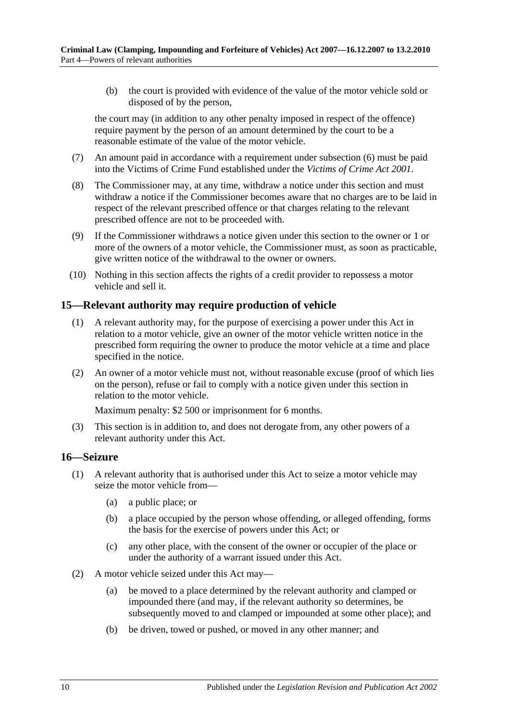(b) the court is provided with evidence of the value of the motor vehicle sold or disposed of by the person,

the court may (in addition to any other penalty imposed in respect of the offence) require payment by the person of an amount determined by the court to be a reasonable estimate of the value of the motor vehicle.

- (7) An amount paid in accordance with a requirement under [subsection](#page-8-4) (6) must be paid into the Victims of Crime Fund established under the *[Victims of Crime Act](http://www.legislation.sa.gov.au/index.aspx?action=legref&type=act&legtitle=Victims%20of%20Crime%20Act%202001) 2001*.
- (8) The Commissioner may, at any time, withdraw a notice under this section and must withdraw a notice if the Commissioner becomes aware that no charges are to be laid in respect of the relevant prescribed offence or that charges relating to the relevant prescribed offence are not to be proceeded with.
- (9) If the Commissioner withdraws a notice given under this section to the owner or 1 or more of the owners of a motor vehicle, the Commissioner must, as soon as practicable, give written notice of the withdrawal to the owner or owners.
- (10) Nothing in this section affects the rights of a credit provider to repossess a motor vehicle and sell it.

### <span id="page-9-0"></span>**15—Relevant authority may require production of vehicle**

- (1) A relevant authority may, for the purpose of exercising a power under this Act in relation to a motor vehicle, give an owner of the motor vehicle written notice in the prescribed form requiring the owner to produce the motor vehicle at a time and place specified in the notice.
- (2) An owner of a motor vehicle must not, without reasonable excuse (proof of which lies on the person), refuse or fail to comply with a notice given under this section in relation to the motor vehicle.

Maximum penalty: \$2 500 or imprisonment for 6 months.

(3) This section is in addition to, and does not derogate from, any other powers of a relevant authority under this Act.

#### <span id="page-9-1"></span>**16—Seizure**

- <span id="page-9-3"></span><span id="page-9-2"></span>(1) A relevant authority that is authorised under this Act to seize a motor vehicle may seize the motor vehicle from—
	- (a) a public place; or
	- (b) a place occupied by the person whose offending, or alleged offending, forms the basis for the exercise of powers under this Act; or
	- (c) any other place, with the consent of the owner or occupier of the place or under the authority of a warrant issued under this Act.
- (2) A motor vehicle seized under this Act may—
	- (a) be moved to a place determined by the relevant authority and clamped or impounded there (and may, if the relevant authority so determines, be subsequently moved to and clamped or impounded at some other place); and
	- (b) be driven, towed or pushed, or moved in any other manner; and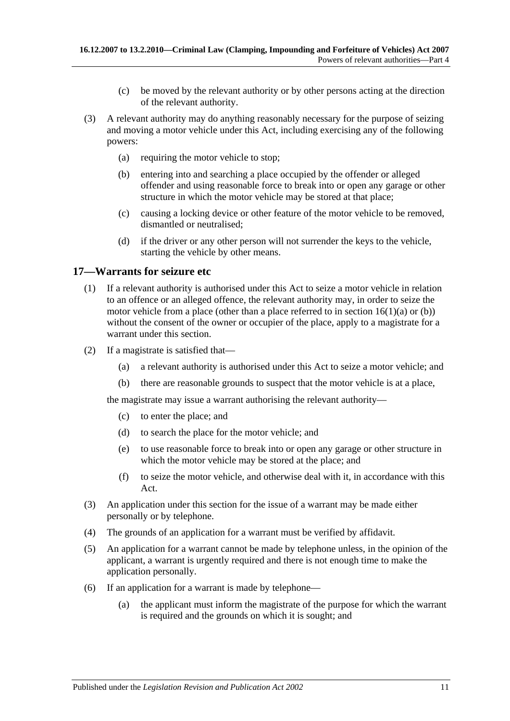- (c) be moved by the relevant authority or by other persons acting at the direction of the relevant authority.
- (3) A relevant authority may do anything reasonably necessary for the purpose of seizing and moving a motor vehicle under this Act, including exercising any of the following powers:
	- (a) requiring the motor vehicle to stop;
	- (b) entering into and searching a place occupied by the offender or alleged offender and using reasonable force to break into or open any garage or other structure in which the motor vehicle may be stored at that place;
	- (c) causing a locking device or other feature of the motor vehicle to be removed, dismantled or neutralised;
	- (d) if the driver or any other person will not surrender the keys to the vehicle, starting the vehicle by other means.

### <span id="page-10-0"></span>**17—Warrants for seizure etc**

- (1) If a relevant authority is authorised under this Act to seize a motor vehicle in relation to an offence or an alleged offence, the relevant authority may, in order to seize the motor vehicle from a place (other than a place referred to in section  $16(1)(a)$  or [\(b\)\)](#page-9-3) without the consent of the owner or occupier of the place, apply to a magistrate for a warrant under this section.
- (2) If a magistrate is satisfied that—
	- (a) a relevant authority is authorised under this Act to seize a motor vehicle; and
	- (b) there are reasonable grounds to suspect that the motor vehicle is at a place,

the magistrate may issue a warrant authorising the relevant authority—

- (c) to enter the place; and
- (d) to search the place for the motor vehicle; and
- (e) to use reasonable force to break into or open any garage or other structure in which the motor vehicle may be stored at the place; and
- (f) to seize the motor vehicle, and otherwise deal with it, in accordance with this Act.
- (3) An application under this section for the issue of a warrant may be made either personally or by telephone.
- (4) The grounds of an application for a warrant must be verified by affidavit.
- (5) An application for a warrant cannot be made by telephone unless, in the opinion of the applicant, a warrant is urgently required and there is not enough time to make the application personally.
- (6) If an application for a warrant is made by telephone—
	- (a) the applicant must inform the magistrate of the purpose for which the warrant is required and the grounds on which it is sought; and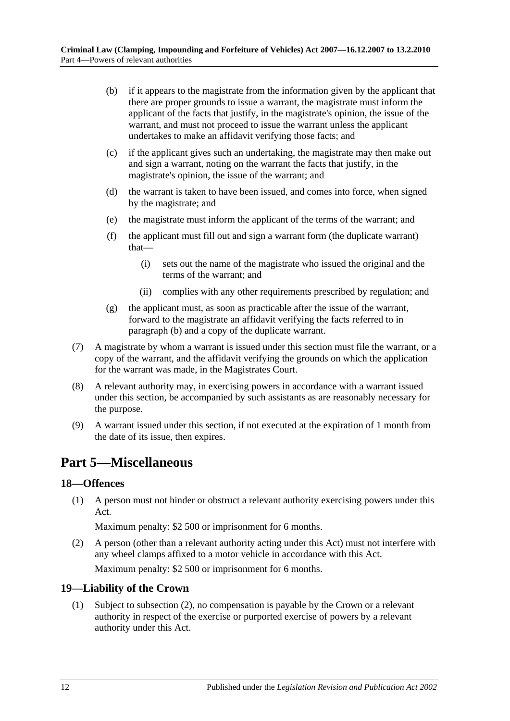- <span id="page-11-3"></span>(b) if it appears to the magistrate from the information given by the applicant that there are proper grounds to issue a warrant, the magistrate must inform the applicant of the facts that justify, in the magistrate's opinion, the issue of the warrant, and must not proceed to issue the warrant unless the applicant undertakes to make an affidavit verifying those facts; and
- (c) if the applicant gives such an undertaking, the magistrate may then make out and sign a warrant, noting on the warrant the facts that justify, in the magistrate's opinion, the issue of the warrant; and
- (d) the warrant is taken to have been issued, and comes into force, when signed by the magistrate; and
- (e) the magistrate must inform the applicant of the terms of the warrant; and
- (f) the applicant must fill out and sign a warrant form (the duplicate warrant) that—
	- (i) sets out the name of the magistrate who issued the original and the terms of the warrant; and
	- (ii) complies with any other requirements prescribed by regulation; and
- (g) the applicant must, as soon as practicable after the issue of the warrant, forward to the magistrate an affidavit verifying the facts referred to in [paragraph](#page-11-3) (b) and a copy of the duplicate warrant.
- (7) A magistrate by whom a warrant is issued under this section must file the warrant, or a copy of the warrant, and the affidavit verifying the grounds on which the application for the warrant was made, in the Magistrates Court.
- (8) A relevant authority may, in exercising powers in accordance with a warrant issued under this section, be accompanied by such assistants as are reasonably necessary for the purpose.
- (9) A warrant issued under this section, if not executed at the expiration of 1 month from the date of its issue, then expires.

# <span id="page-11-0"></span>**Part 5—Miscellaneous**

### <span id="page-11-1"></span>**18—Offences**

(1) A person must not hinder or obstruct a relevant authority exercising powers under this Act.

Maximum penalty: \$2 500 or imprisonment for 6 months.

(2) A person (other than a relevant authority acting under this Act) must not interfere with any wheel clamps affixed to a motor vehicle in accordance with this Act.

Maximum penalty: \$2 500 or imprisonment for 6 months.

### <span id="page-11-2"></span>**19—Liability of the Crown**

(1) Subject to [subsection](#page-12-1) (2), no compensation is payable by the Crown or a relevant authority in respect of the exercise or purported exercise of powers by a relevant authority under this Act.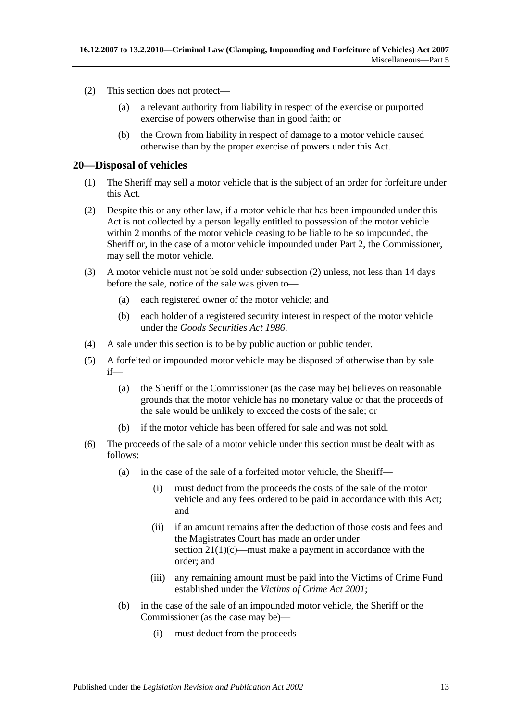- <span id="page-12-1"></span>(2) This section does not protect—
	- (a) a relevant authority from liability in respect of the exercise or purported exercise of powers otherwise than in good faith; or
	- (b) the Crown from liability in respect of damage to a motor vehicle caused otherwise than by the proper exercise of powers under this Act.

### <span id="page-12-0"></span>**20—Disposal of vehicles**

- (1) The Sheriff may sell a motor vehicle that is the subject of an order for forfeiture under this Act.
- <span id="page-12-2"></span>(2) Despite this or any other law, if a motor vehicle that has been impounded under this Act is not collected by a person legally entitled to possession of the motor vehicle within 2 months of the motor vehicle ceasing to be liable to be so impounded, the Sheriff or, in the case of a motor vehicle impounded under [Part 2,](#page-2-1) the Commissioner, may sell the motor vehicle.
- (3) A motor vehicle must not be sold under [subsection](#page-12-2) (2) unless, not less than 14 days before the sale, notice of the sale was given to—
	- (a) each registered owner of the motor vehicle; and
	- (b) each holder of a registered security interest in respect of the motor vehicle under the *[Goods Securities Act](http://www.legislation.sa.gov.au/index.aspx?action=legref&type=act&legtitle=Goods%20Securities%20Act%201986) 1986*.
- (4) A sale under this section is to be by public auction or public tender.
- (5) A forfeited or impounded motor vehicle may be disposed of otherwise than by sale if—
	- (a) the Sheriff or the Commissioner (as the case may be) believes on reasonable grounds that the motor vehicle has no monetary value or that the proceeds of the sale would be unlikely to exceed the costs of the sale; or
	- (b) if the motor vehicle has been offered for sale and was not sold.
- <span id="page-12-3"></span>(6) The proceeds of the sale of a motor vehicle under this section must be dealt with as follows:
	- (a) in the case of the sale of a forfeited motor vehicle, the Sheriff—
		- (i) must deduct from the proceeds the costs of the sale of the motor vehicle and any fees ordered to be paid in accordance with this Act; and
		- (ii) if an amount remains after the deduction of those costs and fees and the Magistrates Court has made an order under section  $21(1)(c)$ —must make a payment in accordance with the order; and
		- (iii) any remaining amount must be paid into the Victims of Crime Fund established under the *[Victims of Crime Act](http://www.legislation.sa.gov.au/index.aspx?action=legref&type=act&legtitle=Victims%20of%20Crime%20Act%202001) 2001*;
	- (b) in the case of the sale of an impounded motor vehicle, the Sheriff or the Commissioner (as the case may be)—
		- (i) must deduct from the proceeds—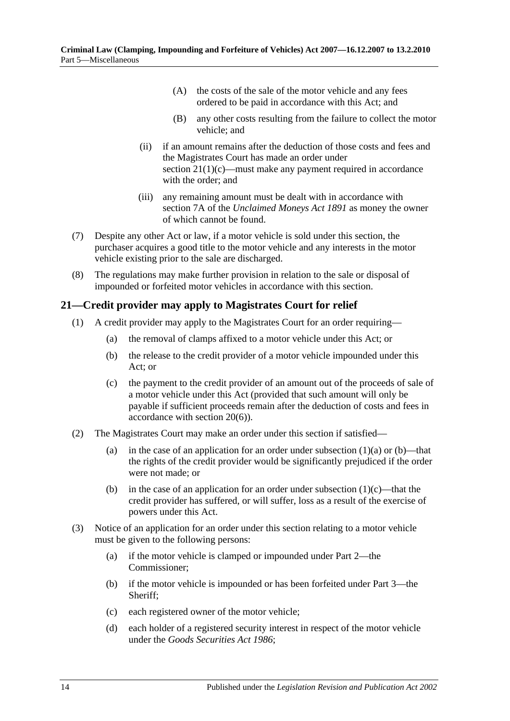- (A) the costs of the sale of the motor vehicle and any fees ordered to be paid in accordance with this Act; and
- (B) any other costs resulting from the failure to collect the motor vehicle; and
- (ii) if an amount remains after the deduction of those costs and fees and the Magistrates Court has made an order under section  $21(1)(c)$ —must make any payment required in accordance with the order; and
- (iii) any remaining amount must be dealt with in accordance with section 7A of the *[Unclaimed Moneys Act](http://www.legislation.sa.gov.au/index.aspx?action=legref&type=act&legtitle=Unclaimed%20Moneys%20Act%201891) 1891* as money the owner of which cannot be found.
- (7) Despite any other Act or law, if a motor vehicle is sold under this section, the purchaser acquires a good title to the motor vehicle and any interests in the motor vehicle existing prior to the sale are discharged.
- (8) The regulations may make further provision in relation to the sale or disposal of impounded or forfeited motor vehicles in accordance with this section.

### <span id="page-13-0"></span>**21—Credit provider may apply to Magistrates Court for relief**

- <span id="page-13-3"></span><span id="page-13-2"></span><span id="page-13-1"></span>(1) A credit provider may apply to the Magistrates Court for an order requiring—
	- (a) the removal of clamps affixed to a motor vehicle under this Act; or
	- (b) the release to the credit provider of a motor vehicle impounded under this Act; or
	- (c) the payment to the credit provider of an amount out of the proceeds of sale of a motor vehicle under this Act (provided that such amount will only be payable if sufficient proceeds remain after the deduction of costs and fees in accordance with [section](#page-12-3) 20(6)).
- (2) The Magistrates Court may make an order under this section if satisfied
	- (a) in the case of an application for an order under [subsection](#page-13-2)  $(1)(a)$  or  $(b)$ —that the rights of the credit provider would be significantly prejudiced if the order were not made; or
	- (b) in the case of an application for an order under [subsection](#page-13-1)  $(1)(c)$ —that the credit provider has suffered, or will suffer, loss as a result of the exercise of powers under this Act.
- <span id="page-13-4"></span>(3) Notice of an application for an order under this section relating to a motor vehicle must be given to the following persons:
	- (a) if the motor vehicle is clamped or impounded under [Part 2—](#page-2-1)the Commissioner;
	- (b) if the motor vehicle is impounded or has been forfeited under [Part 3—](#page-5-1)the Sheriff;
	- (c) each registered owner of the motor vehicle;
	- (d) each holder of a registered security interest in respect of the motor vehicle under the *[Goods Securities Act](http://www.legislation.sa.gov.au/index.aspx?action=legref&type=act&legtitle=Goods%20Securities%20Act%201986) 1986*;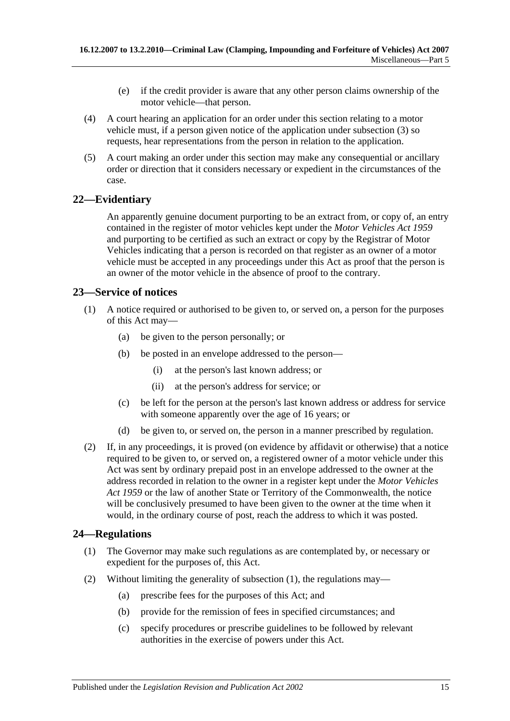- (e) if the credit provider is aware that any other person claims ownership of the motor vehicle—that person.
- (4) A court hearing an application for an order under this section relating to a motor vehicle must, if a person given notice of the application under [subsection](#page-13-4) (3) so requests, hear representations from the person in relation to the application.
- (5) A court making an order under this section may make any consequential or ancillary order or direction that it considers necessary or expedient in the circumstances of the case.

### <span id="page-14-0"></span>**22—Evidentiary**

An apparently genuine document purporting to be an extract from, or copy of, an entry contained in the register of motor vehicles kept under the *[Motor Vehicles Act](http://www.legislation.sa.gov.au/index.aspx?action=legref&type=act&legtitle=Motor%20Vehicles%20Act%201959) 1959* and purporting to be certified as such an extract or copy by the Registrar of Motor Vehicles indicating that a person is recorded on that register as an owner of a motor vehicle must be accepted in any proceedings under this Act as proof that the person is an owner of the motor vehicle in the absence of proof to the contrary.

### <span id="page-14-1"></span>**23—Service of notices**

- (1) A notice required or authorised to be given to, or served on, a person for the purposes of this Act may—
	- (a) be given to the person personally; or
	- (b) be posted in an envelope addressed to the person—
		- (i) at the person's last known address; or
		- (ii) at the person's address for service; or
	- (c) be left for the person at the person's last known address or address for service with someone apparently over the age of 16 years; or
	- (d) be given to, or served on, the person in a manner prescribed by regulation.
- (2) If, in any proceedings, it is proved (on evidence by affidavit or otherwise) that a notice required to be given to, or served on, a registered owner of a motor vehicle under this Act was sent by ordinary prepaid post in an envelope addressed to the owner at the address recorded in relation to the owner in a register kept under the *[Motor Vehicles](http://www.legislation.sa.gov.au/index.aspx?action=legref&type=act&legtitle=Motor%20Vehicles%20Act%201959)  Act [1959](http://www.legislation.sa.gov.au/index.aspx?action=legref&type=act&legtitle=Motor%20Vehicles%20Act%201959)* or the law of another State or Territory of the Commonwealth, the notice will be conclusively presumed to have been given to the owner at the time when it would, in the ordinary course of post, reach the address to which it was posted.

### <span id="page-14-3"></span><span id="page-14-2"></span>**24—Regulations**

- (1) The Governor may make such regulations as are contemplated by, or necessary or expedient for the purposes of, this Act.
- (2) Without limiting the generality of [subsection](#page-14-3) (1), the regulations may—
	- (a) prescribe fees for the purposes of this Act; and
	- (b) provide for the remission of fees in specified circumstances; and
	- (c) specify procedures or prescribe guidelines to be followed by relevant authorities in the exercise of powers under this Act.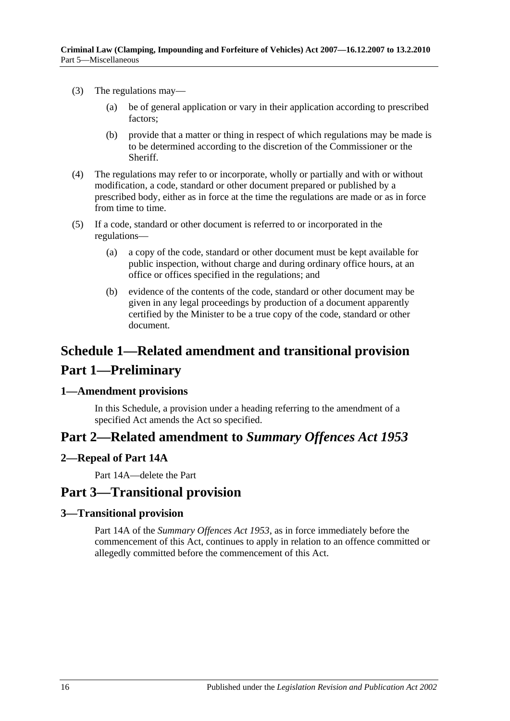- (3) The regulations may—
	- (a) be of general application or vary in their application according to prescribed factors;
	- (b) provide that a matter or thing in respect of which regulations may be made is to be determined according to the discretion of the Commissioner or the Sheriff.
- (4) The regulations may refer to or incorporate, wholly or partially and with or without modification, a code, standard or other document prepared or published by a prescribed body, either as in force at the time the regulations are made or as in force from time to time.
- (5) If a code, standard or other document is referred to or incorporated in the regulations—
	- (a) a copy of the code, standard or other document must be kept available for public inspection, without charge and during ordinary office hours, at an office or offices specified in the regulations; and
	- (b) evidence of the contents of the code, standard or other document may be given in any legal proceedings by production of a document apparently certified by the Minister to be a true copy of the code, standard or other document.

# <span id="page-15-0"></span>**Schedule 1—Related amendment and transitional provision Part 1—Preliminary**

### <span id="page-15-1"></span>**1—Amendment provisions**

In this Schedule, a provision under a heading referring to the amendment of a specified Act amends the Act so specified.

## **Part 2—Related amendment to** *Summary Offences Act 1953*

### <span id="page-15-2"></span>**2—Repeal of Part 14A**

Part 14A—delete the Part

### **Part 3—Transitional provision**

### <span id="page-15-3"></span>**3—Transitional provision**

Part 14A of the *[Summary Offences Act](http://www.legislation.sa.gov.au/index.aspx?action=legref&type=act&legtitle=Summary%20Offences%20Act%201953) 1953*, as in force immediately before the commencement of this Act, continues to apply in relation to an offence committed or allegedly committed before the commencement of this Act.